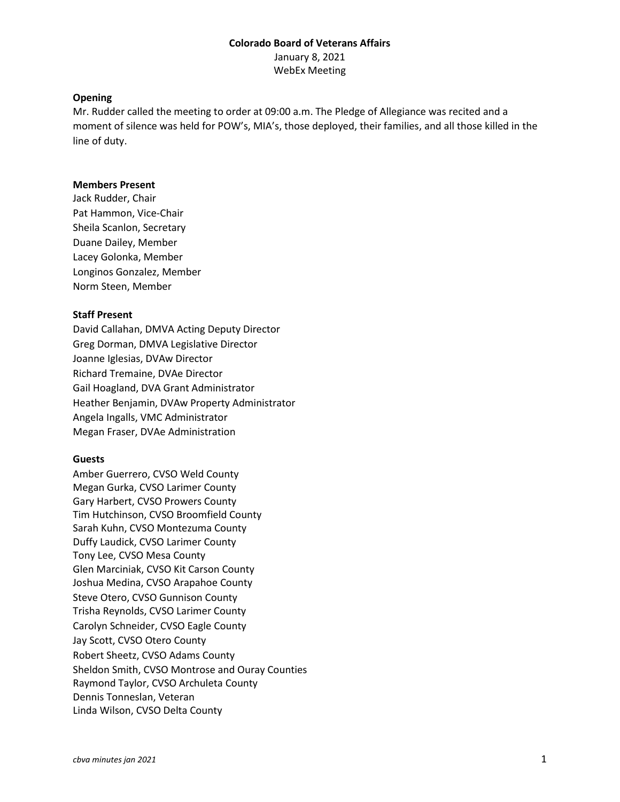# **Colorado Board of Veterans Affairs** January 8, 2021 WebEx Meeting

### **Opening**

Mr. Rudder called the meeting to order at 09:00 a.m. The Pledge of Allegiance was recited and a moment of silence was held for POW's, MIA's, those deployed, their families, and all those killed in the line of duty.

### **Members Present**

Jack Rudder, Chair Pat Hammon, Vice-Chair Sheila Scanlon, Secretary Duane Dailey, Member Lacey Golonka, Member Longinos Gonzalez, Member Norm Steen, Member

# **Staff Present**

David Callahan, DMVA Acting Deputy Director Greg Dorman, DMVA Legislative Director Joanne Iglesias, DVAw Director Richard Tremaine, DVAe Director Gail Hoagland, DVA Grant Administrator Heather Benjamin, DVAw Property Administrator Angela Ingalls, VMC Administrator Megan Fraser, DVAe Administration

### **Guests**

Amber Guerrero, CVSO Weld County Megan Gurka, CVSO Larimer County Gary Harbert, CVSO Prowers County Tim Hutchinson, CVSO Broomfield County Sarah Kuhn, CVSO Montezuma County Duffy Laudick, CVSO Larimer County Tony Lee, CVSO Mesa County Glen Marciniak, CVSO Kit Carson County Joshua Medina, CVSO Arapahoe County Steve Otero, CVSO Gunnison County Trisha Reynolds, CVSO Larimer County Carolyn Schneider, CVSO Eagle County Jay Scott, CVSO Otero County Robert Sheetz, CVSO Adams County Sheldon Smith, CVSO Montrose and Ouray Counties Raymond Taylor, CVSO Archuleta County Dennis Tonneslan, Veteran Linda Wilson, CVSO Delta County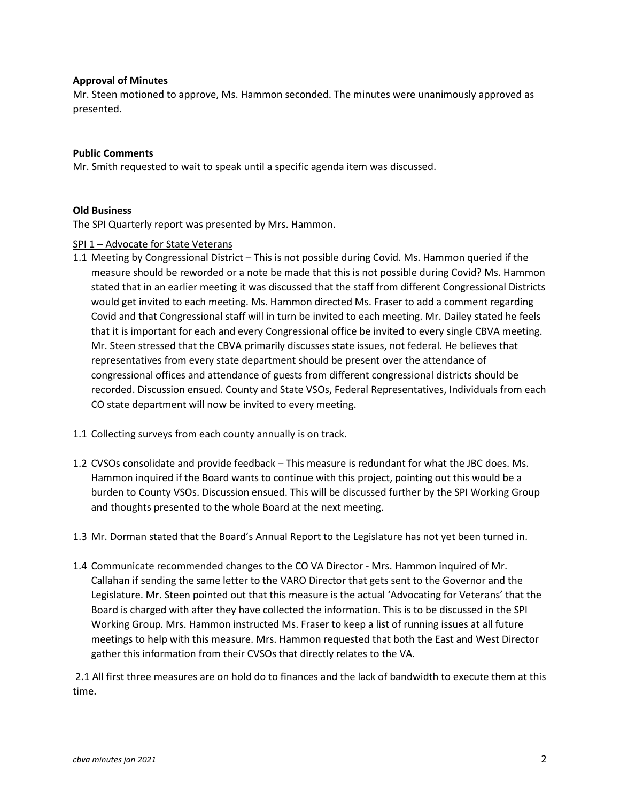## **Approval of Minutes**

Mr. Steen motioned to approve, Ms. Hammon seconded. The minutes were unanimously approved as presented.

## **Public Comments**

Mr. Smith requested to wait to speak until a specific agenda item was discussed.

## **Old Business**

The SPI Quarterly report was presented by Mrs. Hammon.

### SPI 1 - Advocate for State Veterans

- 1.1 Meeting by Congressional District This is not possible during Covid. Ms. Hammon queried if the measure should be reworded or a note be made that this is not possible during Covid? Ms. Hammon stated that in an earlier meeting it was discussed that the staff from different Congressional Districts would get invited to each meeting. Ms. Hammon directed Ms. Fraser to add a comment regarding Covid and that Congressional staff will in turn be invited to each meeting. Mr. Dailey stated he feels that it is important for each and every Congressional office be invited to every single CBVA meeting. Mr. Steen stressed that the CBVA primarily discusses state issues, not federal. He believes that representatives from every state department should be present over the attendance of congressional offices and attendance of guests from different congressional districts should be recorded. Discussion ensued. County and State VSOs, Federal Representatives, Individuals from each CO state department will now be invited to every meeting.
- 1.1 Collecting surveys from each county annually is on track.
- 1.2 CVSOs consolidate and provide feedback This measure is redundant for what the JBC does. Ms. Hammon inquired if the Board wants to continue with this project, pointing out this would be a burden to County VSOs. Discussion ensued. This will be discussed further by the SPI Working Group and thoughts presented to the whole Board at the next meeting.
- 1.3 Mr. Dorman stated that the Board's Annual Report to the Legislature has not yet been turned in.
- 1.4 Communicate recommended changes to the CO VA Director Mrs. Hammon inquired of Mr. Callahan if sending the same letter to the VARO Director that gets sent to the Governor and the Legislature. Mr. Steen pointed out that this measure is the actual 'Advocating for Veterans' that the Board is charged with after they have collected the information. This is to be discussed in the SPI Working Group. Mrs. Hammon instructed Ms. Fraser to keep a list of running issues at all future meetings to help with this measure. Mrs. Hammon requested that both the East and West Director gather this information from their CVSOs that directly relates to the VA.

2.1 All first three measures are on hold do to finances and the lack of bandwidth to execute them at this time.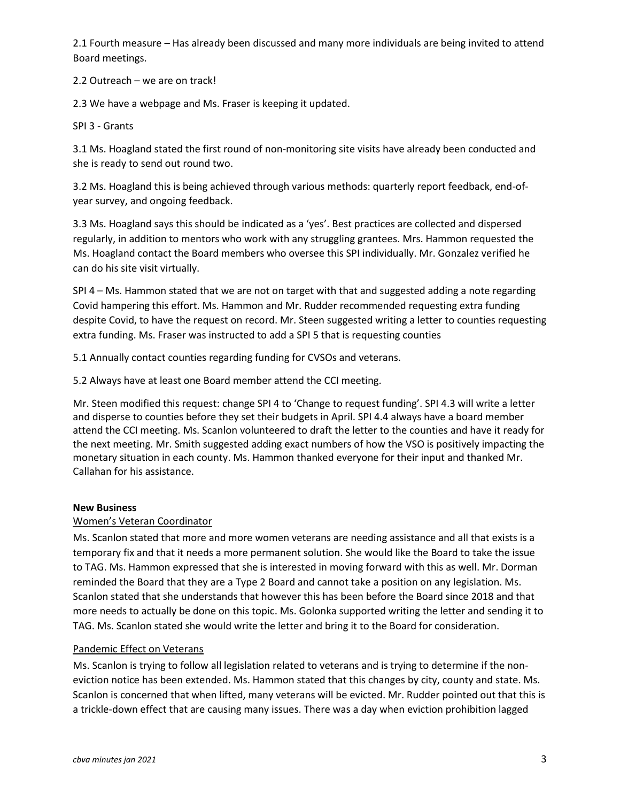2.1 Fourth measure – Has already been discussed and many more individuals are being invited to attend Board meetings.

2.2 Outreach – we are on track!

2.3 We have a webpage and Ms. Fraser is keeping it updated.

SPI 3 - Grants

3.1 Ms. Hoagland stated the first round of non-monitoring site visits have already been conducted and she is ready to send out round two.

3.2 Ms. Hoagland this is being achieved through various methods: quarterly report feedback, end-ofyear survey, and ongoing feedback.

3.3 Ms. Hoagland says this should be indicated as a 'yes'. Best practices are collected and dispersed regularly, in addition to mentors who work with any struggling grantees. Mrs. Hammon requested the Ms. Hoagland contact the Board members who oversee this SPI individually. Mr. Gonzalez verified he can do his site visit virtually.

SPI 4 – Ms. Hammon stated that we are not on target with that and suggested adding a note regarding Covid hampering this effort. Ms. Hammon and Mr. Rudder recommended requesting extra funding despite Covid, to have the request on record. Mr. Steen suggested writing a letter to counties requesting extra funding. Ms. Fraser was instructed to add a SPI 5 that is requesting counties

5.1 Annually contact counties regarding funding for CVSOs and veterans.

5.2 Always have at least one Board member attend the CCI meeting.

Mr. Steen modified this request: change SPI 4 to 'Change to request funding'. SPI 4.3 will write a letter and disperse to counties before they set their budgets in April. SPI 4.4 always have a board member attend the CCI meeting. Ms. Scanlon volunteered to draft the letter to the counties and have it ready for the next meeting. Mr. Smith suggested adding exact numbers of how the VSO is positively impacting the monetary situation in each county. Ms. Hammon thanked everyone for their input and thanked Mr. Callahan for his assistance.

# **New Business**

# Women's Veteran Coordinator

Ms. Scanlon stated that more and more women veterans are needing assistance and all that exists is a temporary fix and that it needs a more permanent solution. She would like the Board to take the issue to TAG. Ms. Hammon expressed that she is interested in moving forward with this as well. Mr. Dorman reminded the Board that they are a Type 2 Board and cannot take a position on any legislation. Ms. Scanlon stated that she understands that however this has been before the Board since 2018 and that more needs to actually be done on this topic. Ms. Golonka supported writing the letter and sending it to TAG. Ms. Scanlon stated she would write the letter and bring it to the Board for consideration.

# Pandemic Effect on Veterans

Ms. Scanlon is trying to follow all legislation related to veterans and is trying to determine if the noneviction notice has been extended. Ms. Hammon stated that this changes by city, county and state. Ms. Scanlon is concerned that when lifted, many veterans will be evicted. Mr. Rudder pointed out that this is a trickle-down effect that are causing many issues. There was a day when eviction prohibition lagged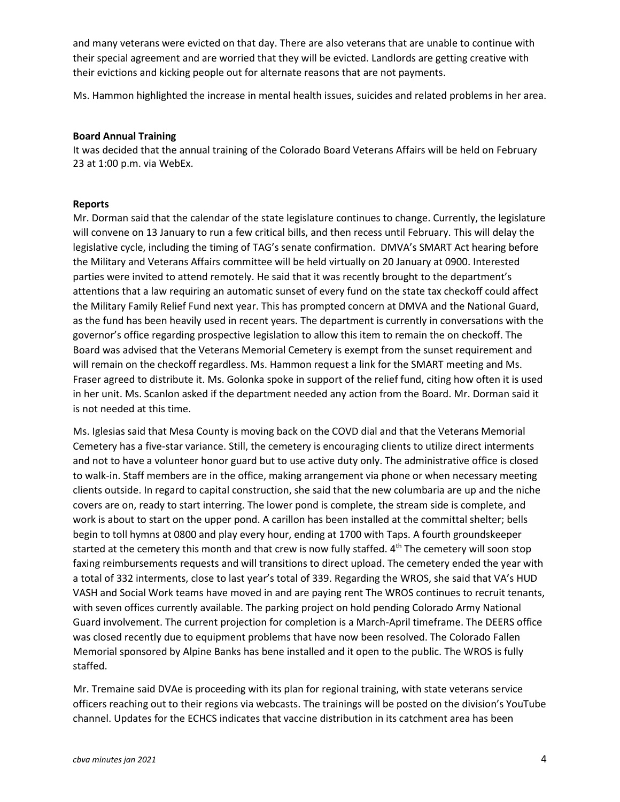and many veterans were evicted on that day. There are also veterans that are unable to continue with their special agreement and are worried that they will be evicted. Landlords are getting creative with their evictions and kicking people out for alternate reasons that are not payments.

Ms. Hammon highlighted the increase in mental health issues, suicides and related problems in her area.

### **Board Annual Training**

It was decided that the annual training of the Colorado Board Veterans Affairs will be held on February 23 at 1:00 p.m. via WebEx.

### **Reports**

Mr. Dorman said that the calendar of the state legislature continues to change. Currently, the legislature will convene on 13 January to run a few critical bills, and then recess until February. This will delay the legislative cycle, including the timing of TAG's senate confirmation. DMVA's SMART Act hearing before the Military and Veterans Affairs committee will be held virtually on 20 January at 0900. Interested parties were invited to attend remotely. He said that it was recently brought to the department's attentions that a law requiring an automatic sunset of every fund on the state tax checkoff could affect the Military Family Relief Fund next year. This has prompted concern at DMVA and the National Guard, as the fund has been heavily used in recent years. The department is currently in conversations with the governor's office regarding prospective legislation to allow this item to remain the on checkoff. The Board was advised that the Veterans Memorial Cemetery is exempt from the sunset requirement and will remain on the checkoff regardless. Ms. Hammon request a link for the SMART meeting and Ms. Fraser agreed to distribute it. Ms. Golonka spoke in support of the relief fund, citing how often it is used in her unit. Ms. Scanlon asked if the department needed any action from the Board. Mr. Dorman said it is not needed at this time.

Ms. Iglesias said that Mesa County is moving back on the COVD dial and that the Veterans Memorial Cemetery has a five-star variance. Still, the cemetery is encouraging clients to utilize direct interments and not to have a volunteer honor guard but to use active duty only. The administrative office is closed to walk-in. Staff members are in the office, making arrangement via phone or when necessary meeting clients outside. In regard to capital construction, she said that the new columbaria are up and the niche covers are on, ready to start interring. The lower pond is complete, the stream side is complete, and work is about to start on the upper pond. A carillon has been installed at the committal shelter; bells begin to toll hymns at 0800 and play every hour, ending at 1700 with Taps. A fourth groundskeeper started at the cemetery this month and that crew is now fully staffed. 4<sup>th</sup> The cemetery will soon stop faxing reimbursements requests and will transitions to direct upload. The cemetery ended the year with a total of 332 interments, close to last year's total of 339. Regarding the WROS, she said that VA's HUD VASH and Social Work teams have moved in and are paying rent The WROS continues to recruit tenants, with seven offices currently available. The parking project on hold pending Colorado Army National Guard involvement. The current projection for completion is a March-April timeframe. The DEERS office was closed recently due to equipment problems that have now been resolved. The Colorado Fallen Memorial sponsored by Alpine Banks has bene installed and it open to the public. The WROS is fully staffed.

Mr. Tremaine said DVAe is proceeding with its plan for regional training, with state veterans service officers reaching out to their regions via webcasts. The trainings will be posted on the division's YouTube channel. Updates for the ECHCS indicates that vaccine distribution in its catchment area has been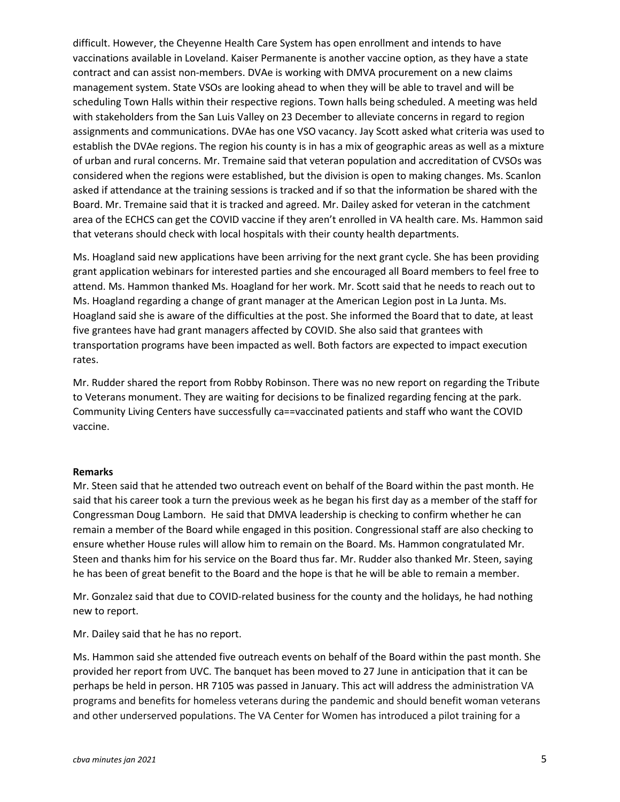difficult. However, the Cheyenne Health Care System has open enrollment and intends to have vaccinations available in Loveland. Kaiser Permanente is another vaccine option, as they have a state contract and can assist non-members. DVAe is working with DMVA procurement on a new claims management system. State VSOs are looking ahead to when they will be able to travel and will be scheduling Town Halls within their respective regions. Town halls being scheduled. A meeting was held with stakeholders from the San Luis Valley on 23 December to alleviate concerns in regard to region assignments and communications. DVAe has one VSO vacancy. Jay Scott asked what criteria was used to establish the DVAe regions. The region his county is in has a mix of geographic areas as well as a mixture of urban and rural concerns. Mr. Tremaine said that veteran population and accreditation of CVSOs was considered when the regions were established, but the division is open to making changes. Ms. Scanlon asked if attendance at the training sessions is tracked and if so that the information be shared with the Board. Mr. Tremaine said that it is tracked and agreed. Mr. Dailey asked for veteran in the catchment area of the ECHCS can get the COVID vaccine if they aren't enrolled in VA health care. Ms. Hammon said that veterans should check with local hospitals with their county health departments.

Ms. Hoagland said new applications have been arriving for the next grant cycle. She has been providing grant application webinars for interested parties and she encouraged all Board members to feel free to attend. Ms. Hammon thanked Ms. Hoagland for her work. Mr. Scott said that he needs to reach out to Ms. Hoagland regarding a change of grant manager at the American Legion post in La Junta. Ms. Hoagland said she is aware of the difficulties at the post. She informed the Board that to date, at least five grantees have had grant managers affected by COVID. She also said that grantees with transportation programs have been impacted as well. Both factors are expected to impact execution rates.

Mr. Rudder shared the report from Robby Robinson. There was no new report on regarding the Tribute to Veterans monument. They are waiting for decisions to be finalized regarding fencing at the park. Community Living Centers have successfully ca==vaccinated patients and staff who want the COVID vaccine.

### **Remarks**

Mr. Steen said that he attended two outreach event on behalf of the Board within the past month. He said that his career took a turn the previous week as he began his first day as a member of the staff for Congressman Doug Lamborn. He said that DMVA leadership is checking to confirm whether he can remain a member of the Board while engaged in this position. Congressional staff are also checking to ensure whether House rules will allow him to remain on the Board. Ms. Hammon congratulated Mr. Steen and thanks him for his service on the Board thus far. Mr. Rudder also thanked Mr. Steen, saying he has been of great benefit to the Board and the hope is that he will be able to remain a member.

Mr. Gonzalez said that due to COVID-related business for the county and the holidays, he had nothing new to report.

Mr. Dailey said that he has no report.

Ms. Hammon said she attended five outreach events on behalf of the Board within the past month. She provided her report from UVC. The banquet has been moved to 27 June in anticipation that it can be perhaps be held in person. HR 7105 was passed in January. This act will address the administration VA programs and benefits for homeless veterans during the pandemic and should benefit woman veterans and other underserved populations. The VA Center for Women has introduced a pilot training for a